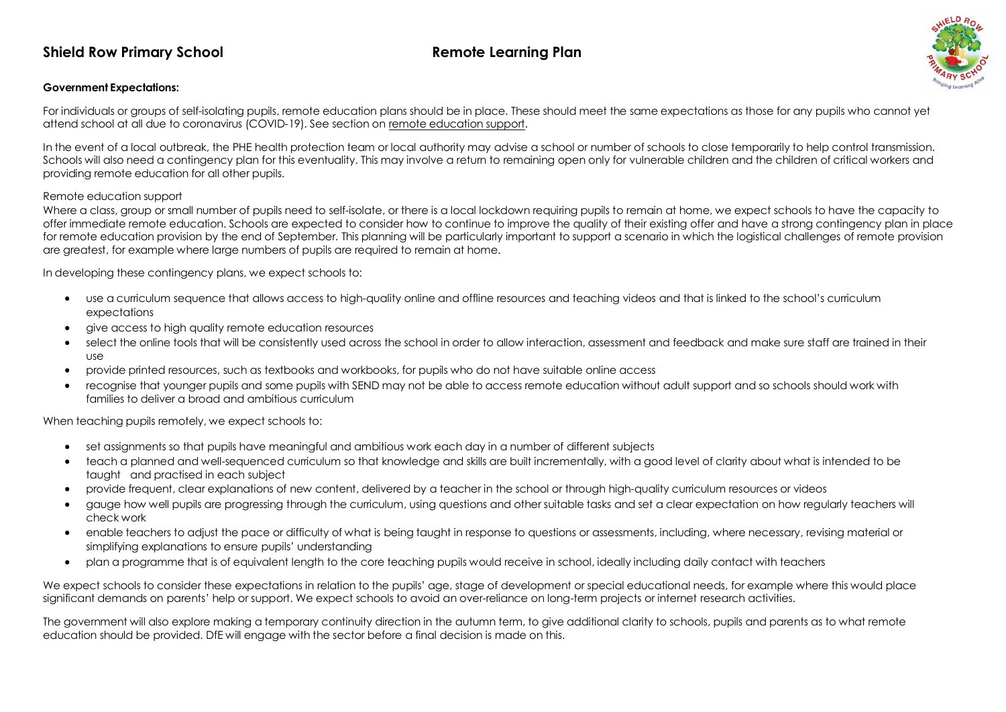## **Shield Row Primary School Remote Learning Plan**



### **Government Expectations:**

For individuals or groups of self-isolating pupils, remote education plans should be in place. These should meet the same expectations as those for any pupils who cannot yet attend school at all due to coronavirus (COVID-19). See section on remote education support.

In the event of a local outbreak, the PHE health protection team or local authority may advise a school or number of schools to close temporarily to help control transmission. Schools will also need a contingency plan for this eventuality. This may involve a return to remaining open only for vulnerable children and the children of critical workers and providing remote education for all other pupils.

#### Remote education support

Where a class, group or small number of pupils need to self-isolate, or there is a local lockdown requiring pupils to remain at home, we expect schools to have the capacity to offer immediate remote education. Schools are expected to consider how to continue to improve the quality of their existing offer and have a strong contingency plan in place for remote education provision by the end of September. This planning will be particularly important to support a scenario in which the logistical challenges of remote provision are greatest, for example where large numbers of pupils are required to remain at home.

In developing these contingency plans, we expect schools to:

- use a curriculum sequence that allows access to high-quality online and offline resources and teaching videos and that is linked to the school's curriculum expectations
- give access to high quality remote education resources
- select the online tools that will be consistently used across the school in order to allow interaction, assessment and feedback and make sure staff are trained in their use
- provide printed resources, such as textbooks and workbooks, for pupils who do not have suitable online access
- recognise that younger pupils and some pupils with SEND may not be able to access remote education without adult support and so schools should work with families to deliver a broad and ambitious curriculum

When teaching pupils remotely, we expect schools to:

- set assignments so that pupils have meaningful and ambitious work each day in a number of different subjects
- teach a planned and well-sequenced curriculum so that knowledge and skills are built incrementally, with a good level of clarity about what is intended to be taught and practised in each subject
- provide frequent, clear explanations of new content, delivered by a teacher in the school or through high-quality curriculum resources or videos
- aguge how well pupils are progressing through the curriculum, using questions and other suitable tasks and set a clear expectation on how regularly teachers will check work
- enable teachers to adjust the pace or difficulty of what is being taught in response to questions or assessments, including, where necessary, revising material or simplifying explanations to ensure pupils' understanding
- plan a programme that is of equivalent length to the core teaching pupils would receive in school, ideally including daily contact with teachers

We expect schools to consider these expectations in relation to the pupils' age, stage of development or special educational needs, for example where this would place significant demands on parents' help or support. We expect schools to avoid an over-reliance on long-term projects or internet research activities.

The government will also explore making a temporary continuity direction in the autumn term, to give additional clarity to schools, pupils and parents as to what remote education should be provided. DfE will engage with the sector before a final decision is made on this.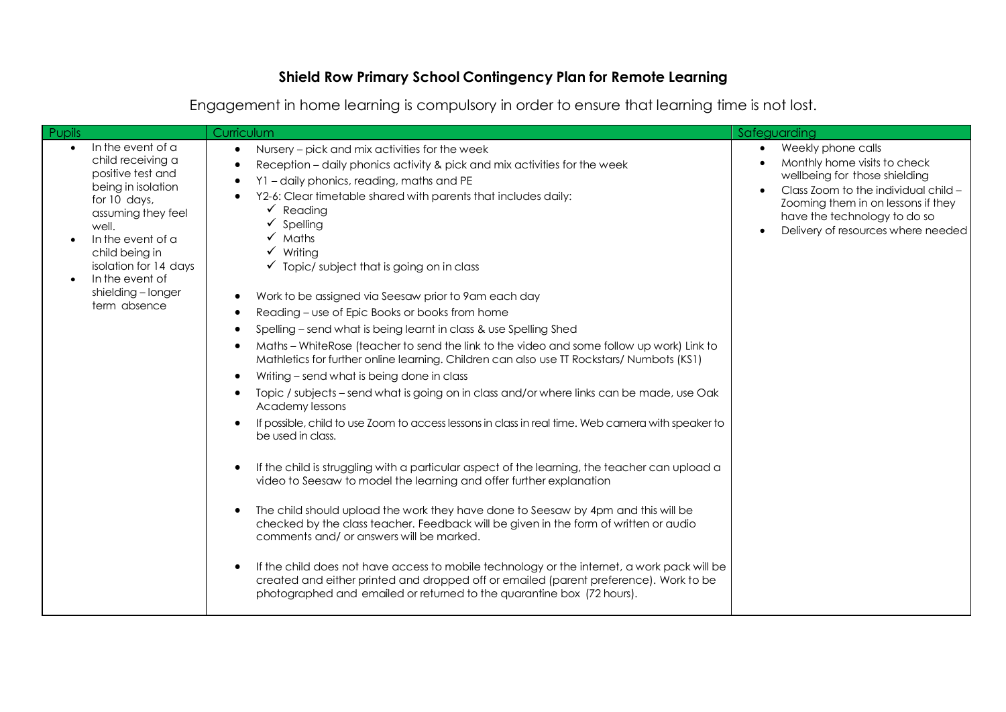# **Shield Row Primary School Contingency Plan for Remote Learning**

| <b>Pupils</b>                                                                                                                                                                                                                                                          | Curriculum                                                                                                                                                                                                                                                                                                                                                                                                                                                                                                                                                                                                                                                                                                                                                                                                                                                                                                                                                                                                                                                                                                                                                                                                                                                                                                                                                                                                                                                                                                                                                                                                                                                                                                                                                                    | Safeguarding                                                                                                                                                                                                                                         |
|------------------------------------------------------------------------------------------------------------------------------------------------------------------------------------------------------------------------------------------------------------------------|-------------------------------------------------------------------------------------------------------------------------------------------------------------------------------------------------------------------------------------------------------------------------------------------------------------------------------------------------------------------------------------------------------------------------------------------------------------------------------------------------------------------------------------------------------------------------------------------------------------------------------------------------------------------------------------------------------------------------------------------------------------------------------------------------------------------------------------------------------------------------------------------------------------------------------------------------------------------------------------------------------------------------------------------------------------------------------------------------------------------------------------------------------------------------------------------------------------------------------------------------------------------------------------------------------------------------------------------------------------------------------------------------------------------------------------------------------------------------------------------------------------------------------------------------------------------------------------------------------------------------------------------------------------------------------------------------------------------------------------------------------------------------------|------------------------------------------------------------------------------------------------------------------------------------------------------------------------------------------------------------------------------------------------------|
| In the event of a<br>$\bullet$<br>child receiving a<br>positive test and<br>being in isolation<br>for 10 days,<br>assuming they feel<br>well.<br>In the event of a<br>child being in<br>isolation for 14 days<br>In the event of<br>shielding - longer<br>term absence | Nursery – pick and mix activities for the week<br>$\bullet$<br>Reception - daily phonics activity & pick and mix activities for the week<br>Y1 - daily phonics, reading, maths and PE<br>Y2-6: Clear timetable shared with parents that includes daily:<br>$\checkmark$ Reading<br>Spelling<br>Maths<br>$\checkmark$ Writing<br>$\checkmark$ Topic/subject that is going on in class<br>Work to be assigned via Seesaw prior to 9am each day<br>$\bullet$<br>Reading - use of Epic Books or books from home<br>Spelling – send what is being learnt in class & use Spelling Shed<br>Maths - WhiteRose (teacher to send the link to the video and some follow up work) Link to<br>$\bullet$<br>Mathletics for further online learning. Children can also use TT Rockstars/ Numbots (KS1)<br>Writing – send what is being done in class<br>Topic / subjects - send what is going on in class and/or where links can be made, use Oak<br>$\bullet$<br>Academy lessons<br>If possible, child to use Zoom to access lessons in class in real time. Web camera with speaker to<br>be used in class.<br>If the child is struggling with a particular aspect of the learning, the teacher can upload a<br>video to Seesaw to model the learning and offer further explanation<br>The child should upload the work they have done to Seesaw by 4pm and this will be<br>$\bullet$<br>checked by the class teacher. Feedback will be given in the form of written or audio<br>comments and/ or answers will be marked.<br>If the child does not have access to mobile technology or the internet, a work pack will be<br>created and either printed and dropped off or emailed (parent preference). Work to be<br>photographed and emailed or returned to the quarantine box (72 hours). | Weekly phone calls<br>$\bullet$<br>Monthly home visits to check<br>wellbeing for those shielding<br>Class Zoom to the individual child -<br>Zooming them in on lessons if they<br>have the technology to do so<br>Delivery of resources where needed |

Engagement in home learning is compulsory in order to ensure that learning time is not lost.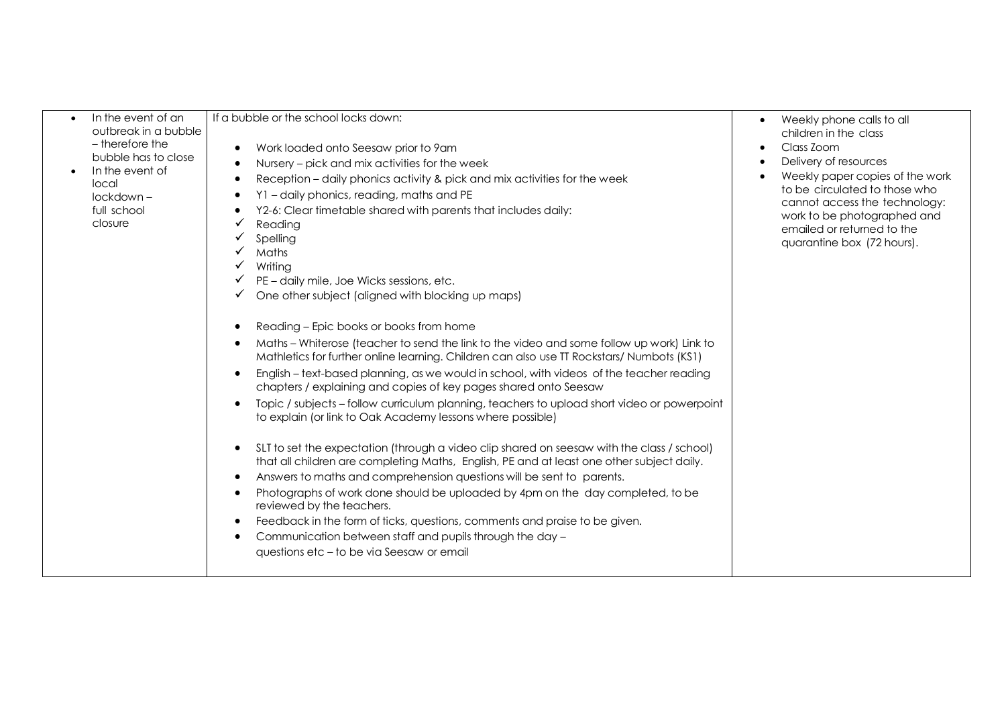| In the event of an<br>outbreak in a bubble<br>- therefore the<br>bubble has to close<br>In the event of<br>local<br>lockdown-<br>full school<br>closure | If a bubble or the school locks down:<br>Work loaded onto Seesaw prior to 9am<br>٠<br>Nursery – pick and mix activities for the week<br>Reception - daily phonics activity & pick and mix activities for the week<br>Y1 - daily phonics, reading, maths and PE<br>Y2-6: Clear timetable shared with parents that includes daily:<br>Reading<br>Spelling<br>Maths<br>Writing<br>PE - daily mile, Joe Wicks sessions, etc.<br>One other subject (aligned with blocking up maps)<br>Reading – Epic books or books from home<br>Maths - Whiterose (teacher to send the link to the video and some follow up work) Link to<br>Mathletics for further online learning. Children can also use TT Rockstars/ Numbots (KS1)<br>English – text-based planning, as we would in school, with videos of the teacher reading<br>chapters / explaining and copies of key pages shared onto Seesaw<br>Topic / subjects - follow curriculum planning, teachers to upload short video or powerpoint<br>to explain (or link to Oak Academy lessons where possible)<br>SLT to set the expectation (through a video clip shared on seesaw with the class / school)<br>$\bullet$<br>that all children are completing Maths, English, PE and at least one other subject daily.<br>Answers to maths and comprehension questions will be sent to parents.<br>$\bullet$<br>Photographs of work done should be uploaded by 4pm on the day completed, to be<br>$\bullet$<br>reviewed by the teachers.<br>Feedback in the form of ticks, questions, comments and praise to be given.<br>- 0<br>Communication between staff and pupils through the day -<br>questions etc - to be via Seesaw or email | Weekly phone calls to all<br>$\bullet$<br>children in the class<br>Class Zoom<br>$\bullet$<br>Delivery of resources<br>Weekly paper copies of the work<br>to be circulated to those who<br>cannot access the technology:<br>work to be photographed and<br>emailed or returned to the<br>quarantine box (72 hours). |
|---------------------------------------------------------------------------------------------------------------------------------------------------------|-------------------------------------------------------------------------------------------------------------------------------------------------------------------------------------------------------------------------------------------------------------------------------------------------------------------------------------------------------------------------------------------------------------------------------------------------------------------------------------------------------------------------------------------------------------------------------------------------------------------------------------------------------------------------------------------------------------------------------------------------------------------------------------------------------------------------------------------------------------------------------------------------------------------------------------------------------------------------------------------------------------------------------------------------------------------------------------------------------------------------------------------------------------------------------------------------------------------------------------------------------------------------------------------------------------------------------------------------------------------------------------------------------------------------------------------------------------------------------------------------------------------------------------------------------------------------------------------------------------------------------------------------------------------------|---------------------------------------------------------------------------------------------------------------------------------------------------------------------------------------------------------------------------------------------------------------------------------------------------------------------|
|---------------------------------------------------------------------------------------------------------------------------------------------------------|-------------------------------------------------------------------------------------------------------------------------------------------------------------------------------------------------------------------------------------------------------------------------------------------------------------------------------------------------------------------------------------------------------------------------------------------------------------------------------------------------------------------------------------------------------------------------------------------------------------------------------------------------------------------------------------------------------------------------------------------------------------------------------------------------------------------------------------------------------------------------------------------------------------------------------------------------------------------------------------------------------------------------------------------------------------------------------------------------------------------------------------------------------------------------------------------------------------------------------------------------------------------------------------------------------------------------------------------------------------------------------------------------------------------------------------------------------------------------------------------------------------------------------------------------------------------------------------------------------------------------------------------------------------------------|---------------------------------------------------------------------------------------------------------------------------------------------------------------------------------------------------------------------------------------------------------------------------------------------------------------------|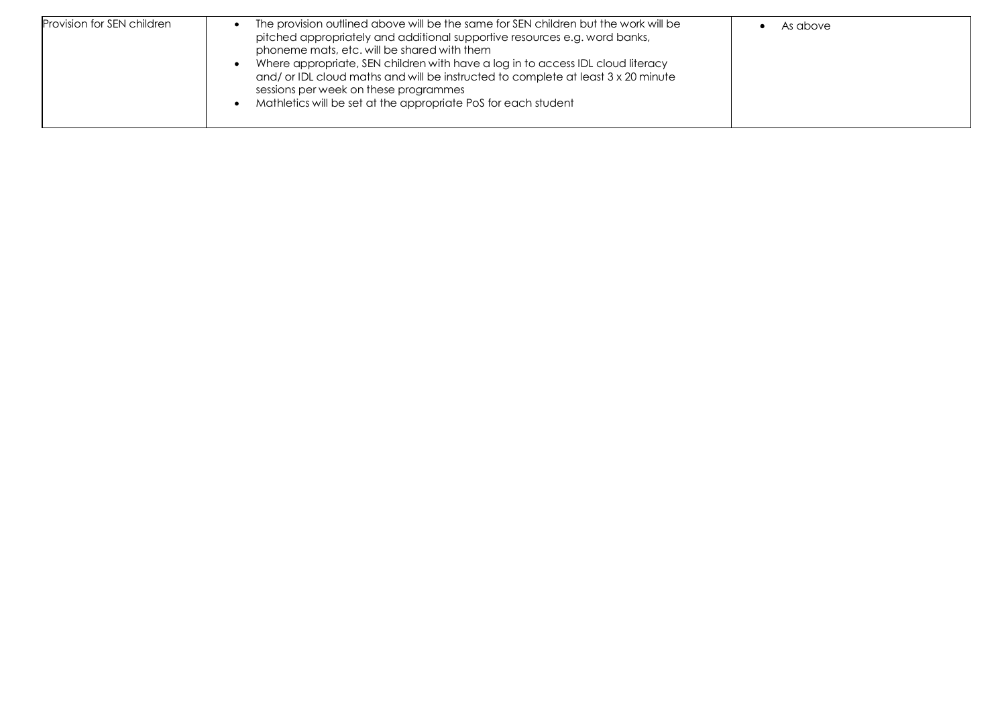| Provision for SEN children | The provision outlined above will be the same for SEN children but the work will be<br>pitched appropriately and additional supportive resources e.g. word banks,<br>phoneme mats, etc. will be shared with them<br>Where appropriate, SEN children with have a log in to access IDL cloud literacy<br>and/ or IDL cloud maths and will be instructed to complete at least 3 x 20 minute<br>sessions per week on these programmes<br>Mathletics will be set at the appropriate PoS for each student | As above |
|----------------------------|-----------------------------------------------------------------------------------------------------------------------------------------------------------------------------------------------------------------------------------------------------------------------------------------------------------------------------------------------------------------------------------------------------------------------------------------------------------------------------------------------------|----------|
|----------------------------|-----------------------------------------------------------------------------------------------------------------------------------------------------------------------------------------------------------------------------------------------------------------------------------------------------------------------------------------------------------------------------------------------------------------------------------------------------------------------------------------------------|----------|